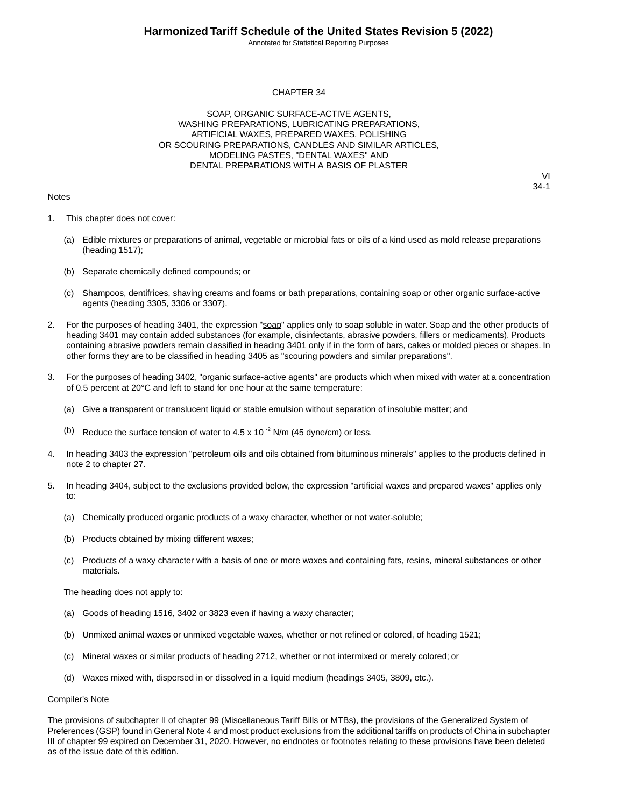Annotated for Statistical Reporting Purposes

#### CHAPTER 34

SOAP, ORGANIC SURFACE-ACTIVE AGENTS, WASHING PREPARATIONS, LUBRICATING PREPARATIONS, ARTIFICIAL WAXES, PREPARED WAXES, POLISHING OR SCOURING PREPARATIONS, CANDLES AND SIMILAR ARTICLES, MODELING PASTES, "DENTAL WAXES" AND DENTAL PREPARATIONS WITH A BASIS OF PLASTER

#### **Notes**

VI 34-1

- 1. This chapter does not cover:
	- (a) Edible mixtures or preparations of animal, vegetable or microbial fats or oils of a kind used as mold release preparations (heading 1517);
	- (b) Separate chemically defined compounds; or
	- (c) Shampoos, dentifrices, shaving creams and foams or bath preparations, containing soap or other organic surface-active agents (heading 3305, 3306 or 3307).
- 2. For the purposes of heading 3401, the expression "soap" applies only to soap soluble in water. Soap and the other products of heading 3401 may contain added substances (for example, disinfectants, abrasive powders, fillers or medicaments). Products containing abrasive powders remain classified in heading 3401 only if in the form of bars, cakes or molded pieces or shapes. In other forms they are to be classified in heading 3405 as "scouring powders and similar preparations".
- 3. For the purposes of heading 3402, "organic surface-active agents" are products which when mixed with water at a concentration of 0.5 percent at 20°C and left to stand for one hour at the same temperature:
	- (a) Give a transparent or translucent liquid or stable emulsion without separation of insoluble matter; and
	- (b) Reduce the surface tension of water to 4.5 x 10 $^{-2}$  N/m (45 dyne/cm) or less.
- 4. In heading 3403 the expression "petroleum oils and oils obtained from bituminous minerals" applies to the products defined in note 2 to chapter 27.
- 5. In heading 3404, subject to the exclusions provided below, the expression "artificial waxes and prepared waxes" applies only to:
	- (a) Chemically produced organic products of a waxy character, whether or not water-soluble;
	- (b) Products obtained by mixing different waxes;
	- (c) Products of a waxy character with a basis of one or more waxes and containing fats, resins, mineral substances or other materials.

The heading does not apply to:

- (a) Goods of heading 1516, 3402 or 3823 even if having a waxy character;
- (b) Unmixed animal waxes or unmixed vegetable waxes, whether or not refined or colored, of heading 1521;
- (c) Mineral waxes or similar products of heading 2712, whether or not intermixed or merely colored; or
- (d) Waxes mixed with, dispersed in or dissolved in a liquid medium (headings 3405, 3809, etc.).

#### Compiler's Note

The provisions of subchapter II of chapter 99 (Miscellaneous Tariff Bills or MTBs), the provisions of the Generalized System of Preferences (GSP) found in General Note 4 and most product exclusions from the additional tariffs on products of China in subchapter III of chapter 99 expired on December 31, 2020. However, no endnotes or footnotes relating to these provisions have been deleted as of the issue date of this edition.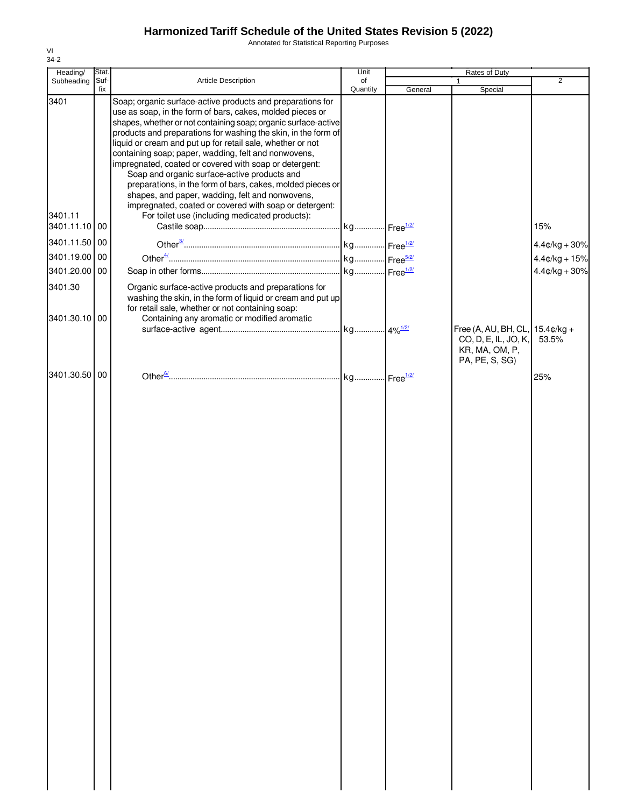Annotated for Statistical Reporting Purposes

| Heading/        | Stat.       |                                                                                                                                                                                                                                                                                                                                                                                                                                                                                                                                                                                                                                                                                                                          | Unit           | Rates of Duty |                                                          |                 |  |
|-----------------|-------------|--------------------------------------------------------------------------------------------------------------------------------------------------------------------------------------------------------------------------------------------------------------------------------------------------------------------------------------------------------------------------------------------------------------------------------------------------------------------------------------------------------------------------------------------------------------------------------------------------------------------------------------------------------------------------------------------------------------------------|----------------|---------------|----------------------------------------------------------|-----------------|--|
| Subheading      | Suf-<br>fix | Article Description                                                                                                                                                                                                                                                                                                                                                                                                                                                                                                                                                                                                                                                                                                      | of<br>Quantity | General       | 1<br>Special                                             | $\overline{2}$  |  |
| 3401<br>3401.11 |             | Soap; organic surface-active products and preparations for<br>use as soap, in the form of bars, cakes, molded pieces or<br>shapes, whether or not containing soap; organic surface-active<br>products and preparations for washing the skin, in the form of<br>liquid or cream and put up for retail sale, whether or not<br>containing soap; paper, wadding, felt and nonwovens,<br>impregnated, coated or covered with soap or detergent:<br>Soap and organic surface-active products and<br>preparations, in the form of bars, cakes, molded pieces or<br>shapes, and paper, wadding, felt and nonwovens,<br>impregnated, coated or covered with soap or detergent:<br>For toilet use (including medicated products): |                |               |                                                          |                 |  |
| 3401.11.10 00   |             |                                                                                                                                                                                                                                                                                                                                                                                                                                                                                                                                                                                                                                                                                                                          |                |               |                                                          | 15%             |  |
| 3401.11.50 00   |             |                                                                                                                                                                                                                                                                                                                                                                                                                                                                                                                                                                                                                                                                                                                          |                |               |                                                          | $4.4¢/kg + 30%$ |  |
| 3401.19.00 00   |             |                                                                                                                                                                                                                                                                                                                                                                                                                                                                                                                                                                                                                                                                                                                          |                |               |                                                          | $4.4¢/kg + 15%$ |  |
| 3401.20.00 00   |             |                                                                                                                                                                                                                                                                                                                                                                                                                                                                                                                                                                                                                                                                                                                          |                |               |                                                          | $4.4¢/kg + 30%$ |  |
| 3401.30         |             | Organic surface-active products and preparations for<br>washing the skin, in the form of liquid or cream and put up<br>for retail sale, whether or not containing soap:                                                                                                                                                                                                                                                                                                                                                                                                                                                                                                                                                  |                |               |                                                          |                 |  |
| 3401.30.10 00   |             | Containing any aromatic or modified aromatic                                                                                                                                                                                                                                                                                                                                                                                                                                                                                                                                                                                                                                                                             |                |               | Free (A, AU, BH, CL, 15.4¢/kg +                          |                 |  |
|                 |             |                                                                                                                                                                                                                                                                                                                                                                                                                                                                                                                                                                                                                                                                                                                          |                |               | CO, D, E, IL, JO, K,<br>KR, MA, OM, P,<br>PA, PE, S, SG) | 53.5%           |  |
| 3401.30.50 00   |             |                                                                                                                                                                                                                                                                                                                                                                                                                                                                                                                                                                                                                                                                                                                          |                |               |                                                          | 25%             |  |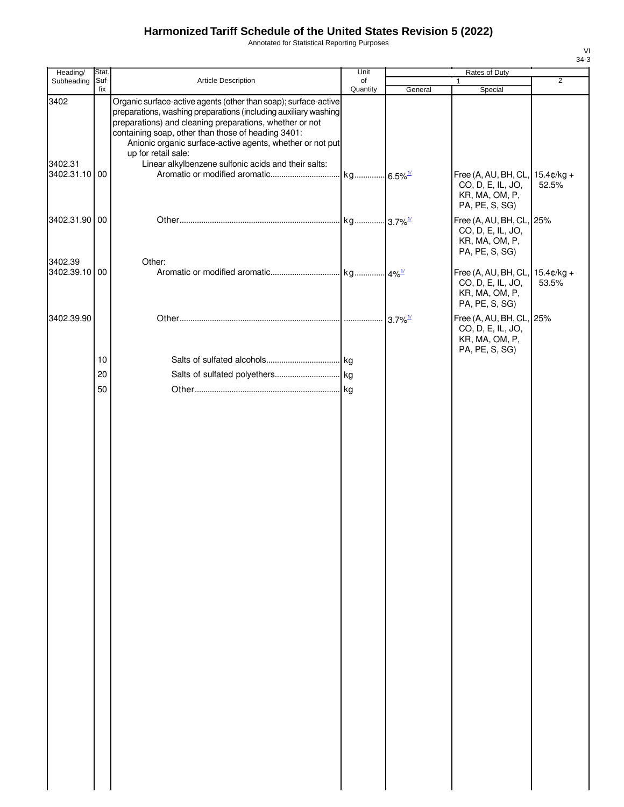Annotated for Statistical Reporting Purposes

| Stat.         |                                                                                                                                      | Unit                                                                       | Rates of Duty                                                                                                                                                                                                     |                                                            |                                                                                                                                                                           |  |
|---------------|--------------------------------------------------------------------------------------------------------------------------------------|----------------------------------------------------------------------------|-------------------------------------------------------------------------------------------------------------------------------------------------------------------------------------------------------------------|------------------------------------------------------------|---------------------------------------------------------------------------------------------------------------------------------------------------------------------------|--|
|               |                                                                                                                                      | of                                                                         |                                                                                                                                                                                                                   | 1                                                          | $\overline{2}$                                                                                                                                                            |  |
|               | preparations) and cleaning preparations, whether or not<br>containing soap, other than those of heading 3401:<br>up for retail sale: |                                                                            |                                                                                                                                                                                                                   |                                                            |                                                                                                                                                                           |  |
| 3402.31.10 00 |                                                                                                                                      |                                                                            |                                                                                                                                                                                                                   | CO, D, E, IL, JO,<br>KR, MA, OM, P,<br>PA, PE, S, SG)      | 52.5%                                                                                                                                                                     |  |
| 3402.31.90 00 |                                                                                                                                      |                                                                            |                                                                                                                                                                                                                   | CO, D, E, IL, JO,<br>KR, MA, OM, P,                        |                                                                                                                                                                           |  |
|               | Other:                                                                                                                               |                                                                            |                                                                                                                                                                                                                   |                                                            |                                                                                                                                                                           |  |
| 3402.39.10 00 |                                                                                                                                      |                                                                            |                                                                                                                                                                                                                   | CO, D, E, IL, JO,<br>KR, MA, OM, P,<br>PA, PE, S, SG)      | 53.5%                                                                                                                                                                     |  |
|               |                                                                                                                                      |                                                                            |                                                                                                                                                                                                                   | CO, D, E, IL, JO,<br>KR, MA, OM, P,                        |                                                                                                                                                                           |  |
| 10            |                                                                                                                                      |                                                                            |                                                                                                                                                                                                                   |                                                            |                                                                                                                                                                           |  |
|               |                                                                                                                                      |                                                                            |                                                                                                                                                                                                                   |                                                            |                                                                                                                                                                           |  |
|               |                                                                                                                                      |                                                                            |                                                                                                                                                                                                                   |                                                            |                                                                                                                                                                           |  |
|               |                                                                                                                                      |                                                                            |                                                                                                                                                                                                                   |                                                            |                                                                                                                                                                           |  |
|               | Suf-<br>fix<br>20<br>50                                                                                                              | Article Description<br>Linear alkylbenzene sulfonic acids and their salts: | Quantity<br>Organic surface-active agents (other than soap); surface-active<br>preparations, washing preparations (including auxiliary washing<br>Anionic organic surface-active agents, whether or not put<br>kg | General<br>$-6.5\%$ <sup>1/</sup><br>$3.7\%$ <sup>1/</sup> | Special<br>Free (A, AU, BH, CL, 15.4¢/kg +<br>Free (A, AU, BH, CL, 25%<br>PA, PE, S, SG)<br>Free (A, AU, BH, CL, 15.4¢/kg +<br>Free (A, AU, BH, CL, 25%<br>PA, PE, S, SG) |  |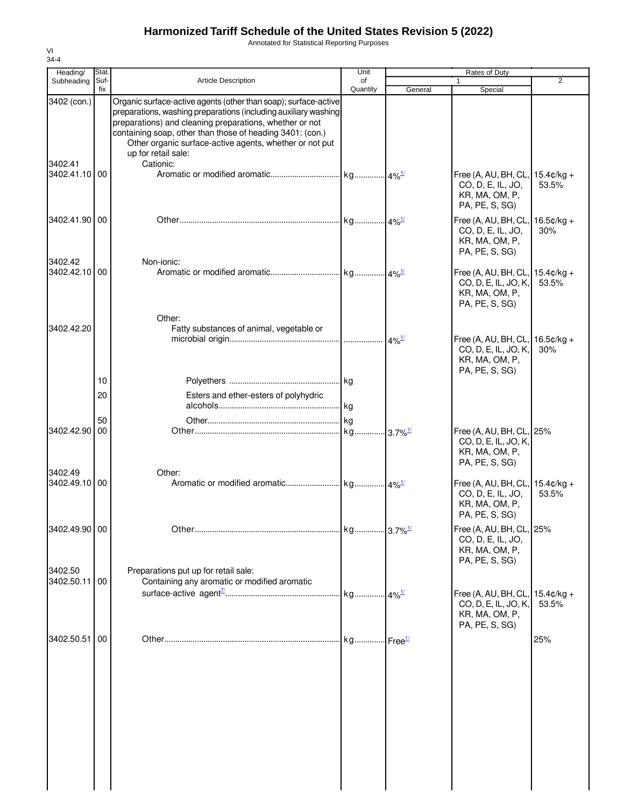Annotated for Statistical Reporting Purposes

| Heading/                 | <b>Stat</b> |                                                                                                                                                                                                                                                                                                                                                           | Unit           |                        | Rates of Duty                                                                               | 2                     |
|--------------------------|-------------|-----------------------------------------------------------------------------------------------------------------------------------------------------------------------------------------------------------------------------------------------------------------------------------------------------------------------------------------------------------|----------------|------------------------|---------------------------------------------------------------------------------------------|-----------------------|
| Subheading               | Suf-<br>fix | <b>Article Description</b>                                                                                                                                                                                                                                                                                                                                | of<br>Quantity | General                | Special                                                                                     |                       |
| 3402 (con.)<br>3402.41   |             | Organic surface-active agents (other than soap); surface-active<br>preparations, washing preparations (including auxiliary washing<br>preparations) and cleaning preparations, whether or not<br>containing soap, other than those of heading 3401: (con.)<br>Other organic surface-active agents, whether or not put<br>up for retail sale:<br>Cationic: |                |                        |                                                                                             |                       |
| 3402.41.10 00            |             |                                                                                                                                                                                                                                                                                                                                                           |                |                        | Free (A, AU, BH, CL,<br>CO, D, E, IL, JO,<br>KR, MA, OM, P,<br>PA, PE, S, SG)               | $15.4¢/kg +$<br>53.5% |
| 3402.41.90 00            |             |                                                                                                                                                                                                                                                                                                                                                           |                |                        | Free (A, AU, BH, CL, 16.5¢/kg +<br>CO, D, E, IL, JO,<br>KR, MA, OM, P,<br>PA, PE, S, SG)    | 30%                   |
| 3402.42<br>3402.42.10 00 |             | Non-ionic:                                                                                                                                                                                                                                                                                                                                                |                |                        | Free (A, AU, BH, CL, 15.4¢/kg +<br>CO, D, E, IL, JO, K,<br>KR, MA, OM, P,<br>PA, PE, S, SG) | 53.5%                 |
| 3402.42.20               |             | Other:<br>Fatty substances of animal, vegetable or                                                                                                                                                                                                                                                                                                        |                | $4\%$ <sup>1/</sup>    | Free (A, AU, BH, CL,<br>CO, D, E, IL, JO, K,<br>KR, MA, OM, P,                              | $16.5¢/kg +$<br>30%   |
|                          | 10          |                                                                                                                                                                                                                                                                                                                                                           |                |                        | PA, PE, S, SG)                                                                              |                       |
|                          | 20          | Esters and ether-esters of polyhydric                                                                                                                                                                                                                                                                                                                     |                |                        |                                                                                             |                       |
| 3402.42.90 00            | 50          |                                                                                                                                                                                                                                                                                                                                                           |                | $-3.7\%$ <sup>1/</sup> | Free (A, AU, BH, CL, 25%<br>CO, D, E, IL, JO, K,<br>KR, MA, OM, P,<br>PA, PE, S, SG)        |                       |
| 3402.49<br>3402.49.10 00 |             | Other:                                                                                                                                                                                                                                                                                                                                                    |                |                        | Free (A, AU, BH, CL, 15.4¢/kg +<br>CO, D, E, IL, JO,<br>KR, MA, OM, P,<br>PA, PE, S, SG)    | 53.5%                 |
| 3402.49.90 00            |             |                                                                                                                                                                                                                                                                                                                                                           |                |                        | Free (A, AU, BH, CL, 25%<br>CO, D, E, IL, JO,<br>KR, MA, OM, P,<br>PA, PE, S, SG)           |                       |
| 3402.50<br>3402.50.11 00 |             | Preparations put up for retail sale:<br>Containing any aromatic or modified aromatic                                                                                                                                                                                                                                                                      |                |                        | Free (A, AU, BH, CL, 15.4¢/kg +<br>CO, D, E, IL, JO, K,                                     | 53.5%                 |
| 3402.50.51 00            |             |                                                                                                                                                                                                                                                                                                                                                           |                |                        | KR, MA, OM, P,<br>PA, PE, S, SG)                                                            | 25%                   |
|                          |             |                                                                                                                                                                                                                                                                                                                                                           |                |                        |                                                                                             |                       |

VI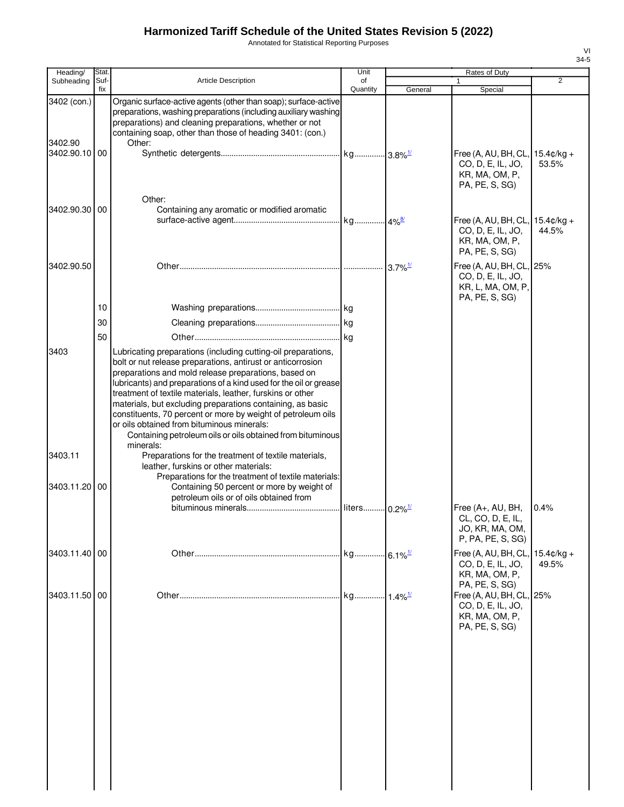Annotated for Statistical Reporting Purposes

| Heading/               | Stat.       |                                                                                                                                                                                                                                                                                                                                                                                                                                                                                                                                                                                | Unit                  |         | Rates of Duty                                                                        |                               |
|------------------------|-------------|--------------------------------------------------------------------------------------------------------------------------------------------------------------------------------------------------------------------------------------------------------------------------------------------------------------------------------------------------------------------------------------------------------------------------------------------------------------------------------------------------------------------------------------------------------------------------------|-----------------------|---------|--------------------------------------------------------------------------------------|-------------------------------|
| Subheading             | Suf-<br>fix | <b>Article Description</b>                                                                                                                                                                                                                                                                                                                                                                                                                                                                                                                                                     | of<br>Quantity        | General | 1                                                                                    | 2                             |
| 3402 (con.)<br>3402.90 |             | Organic surface-active agents (other than soap); surface-active<br>preparations, washing preparations (including auxiliary washing<br>preparations) and cleaning preparations, whether or not<br>containing soap, other than those of heading 3401: (con.)<br>Other:                                                                                                                                                                                                                                                                                                           |                       |         | Special                                                                              |                               |
| 3402.90.10 00          |             | Other:                                                                                                                                                                                                                                                                                                                                                                                                                                                                                                                                                                         |                       |         | Free (A, AU, BH, CL,<br>CO, D, E, IL, JO,<br>KR, MA, OM, P,<br>PA, PE, S, SG)        | $15.4 \text{c/kg} +$<br>53.5% |
| 3402.90.30 00          |             | Containing any aromatic or modified aromatic                                                                                                                                                                                                                                                                                                                                                                                                                                                                                                                                   |                       |         | Free (A, AU, BH, CL,<br>CO, D, E, IL, JO,<br>KR, MA, OM, P,<br>PA, PE, S, SG)        | $15.4¢/kg +$<br>44.5%         |
| 3402.90.50             |             |                                                                                                                                                                                                                                                                                                                                                                                                                                                                                                                                                                                |                       |         | Free (A, AU, BH, CL, 25%<br>CO, D, E, IL, JO,<br>KR, L, MA, OM, P,<br>PA, PE, S, SG) |                               |
|                        | 10          |                                                                                                                                                                                                                                                                                                                                                                                                                                                                                                                                                                                |                       |         |                                                                                      |                               |
|                        | 30          |                                                                                                                                                                                                                                                                                                                                                                                                                                                                                                                                                                                |                       |         |                                                                                      |                               |
|                        | 50          |                                                                                                                                                                                                                                                                                                                                                                                                                                                                                                                                                                                |                       |         |                                                                                      |                               |
| 3403                   |             | Lubricating preparations (including cutting-oil preparations,<br>bolt or nut release preparations, antirust or anticorrosion<br>preparations and mold release preparations, based on<br>lubricants) and preparations of a kind used for the oil or grease<br>treatment of textile materials, leather, furskins or other<br>materials, but excluding preparations containing, as basic<br>constituents, 70 percent or more by weight of petroleum oils<br>or oils obtained from bituminous minerals:<br>Containing petroleum oils or oils obtained from bituminous<br>minerals: |                       |         |                                                                                      |                               |
| 3403.11                |             | Preparations for the treatment of textile materials,                                                                                                                                                                                                                                                                                                                                                                                                                                                                                                                           |                       |         |                                                                                      |                               |
| 3403.11.20 00          |             | leather, furskins or other materials:<br>Preparations for the treatment of textile materials:<br>Containing 50 percent or more by weight of<br>petroleum oils or of oils obtained from                                                                                                                                                                                                                                                                                                                                                                                         |                       |         |                                                                                      |                               |
|                        |             |                                                                                                                                                                                                                                                                                                                                                                                                                                                                                                                                                                                |                       |         | Free (A+, AU, BH,<br>CL, CO, D, E, IL,<br>JO, KR, MA, OM,<br>P, PA, PE, S, SG)       | 0.4%                          |
| 3403.11.40 00          |             |                                                                                                                                                                                                                                                                                                                                                                                                                                                                                                                                                                                |                       |         | Free (A, AU, BH, CL,<br>CO, D, E, IL, JO,<br>KR, MA, OM, P,<br>PA, PE, S, SG)        | $15.4 \text{c/kg} +$<br>49.5% |
| 3403.11.50 00          |             |                                                                                                                                                                                                                                                                                                                                                                                                                                                                                                                                                                                | kg 1.4% <sup>1/</sup> |         | Free (A, AU, BH, CL,<br>CO, D, E, IL, JO,<br>KR, MA, OM, P,<br>PA, PE, S, SG)        | 25%                           |
|                        |             |                                                                                                                                                                                                                                                                                                                                                                                                                                                                                                                                                                                |                       |         |                                                                                      |                               |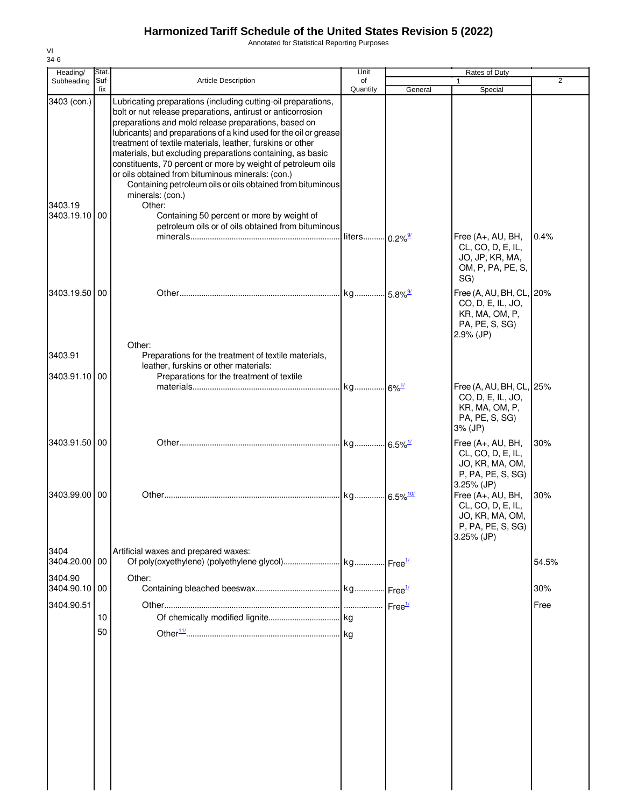Annotated for Statistical Reporting Purposes

| Heading/                             | Stat.       |                                                                                                                                                                                                                                                                                                                                                                                                                                                                                                                                                                                                                                                                                                            | Unit                  |                       | Rates of Duty                                                                                                                                                              |                |
|--------------------------------------|-------------|------------------------------------------------------------------------------------------------------------------------------------------------------------------------------------------------------------------------------------------------------------------------------------------------------------------------------------------------------------------------------------------------------------------------------------------------------------------------------------------------------------------------------------------------------------------------------------------------------------------------------------------------------------------------------------------------------------|-----------------------|-----------------------|----------------------------------------------------------------------------------------------------------------------------------------------------------------------------|----------------|
| Subheading                           | Suf-<br>fix | <b>Article Description</b>                                                                                                                                                                                                                                                                                                                                                                                                                                                                                                                                                                                                                                                                                 | of<br>Quantity        | General               | $\mathbf{1}$<br>Special                                                                                                                                                    | $\overline{2}$ |
| 3403 (con.)<br>3403.19<br>3403.19.10 | 00          | Lubricating preparations (including cutting-oil preparations,<br>bolt or nut release preparations, antirust or anticorrosion<br>preparations and mold release preparations, based on<br>lubricants) and preparations of a kind used for the oil or grease<br>treatment of textile materials, leather, furskins or other<br>materials, but excluding preparations containing, as basic<br>constituents, 70 percent or more by weight of petroleum oils<br>or oils obtained from bituminous minerals: (con.)<br>Containing petroleum oils or oils obtained from bituminous<br>minerals: (con.)<br>Other:<br>Containing 50 percent or more by weight of<br>petroleum oils or of oils obtained from bituminous | liters                | $0.2\%$ <sup>9/</sup> | Free (A+, AU, BH,<br>CL, CO, D, E, IL,<br>JO, JP, KR, MA,<br>OM, P, PA, PE, S,<br>SG)                                                                                      | 0.4%           |
| 3403.19.50 00                        |             |                                                                                                                                                                                                                                                                                                                                                                                                                                                                                                                                                                                                                                                                                                            | kg 5.8% <sup>9/</sup> |                       | Free (A, AU, BH, CL,                                                                                                                                                       | 20%            |
| 3403.91                              |             | Other:<br>Preparations for the treatment of textile materials,                                                                                                                                                                                                                                                                                                                                                                                                                                                                                                                                                                                                                                             |                       |                       | CO, D, E, IL, JO,<br>KR, MA, OM, P,<br>PA, PE, S, SG)<br>$2.9%$ (JP)                                                                                                       |                |
|                                      |             | leather, furskins or other materials:                                                                                                                                                                                                                                                                                                                                                                                                                                                                                                                                                                                                                                                                      |                       |                       |                                                                                                                                                                            |                |
| 3403.91.10 00                        |             | Preparations for the treatment of textile                                                                                                                                                                                                                                                                                                                                                                                                                                                                                                                                                                                                                                                                  |                       |                       | Free (A, AU, BH, CL,<br>CO, D, E, IL, JO,<br>KR, MA, OM, P,<br>PA, PE, S, SG)<br>3% (JP)                                                                                   | 25%            |
| 3403.91.50 00                        |             |                                                                                                                                                                                                                                                                                                                                                                                                                                                                                                                                                                                                                                                                                                            |                       |                       | Free (A+, AU, BH,                                                                                                                                                          | 30%            |
| 3403.99.00                           | 00          |                                                                                                                                                                                                                                                                                                                                                                                                                                                                                                                                                                                                                                                                                                            |                       |                       | CL, CO, D, E, IL,<br>JO, KR, MA, OM,<br>P, PA, PE, S, SG)<br>3.25% (JP)<br>Free (A+, AU, BH,<br>CL, CO, D, E, IL,<br>JO, KR, MA, OM,<br>P, PA, PE, S, SG)<br>$3.25\%$ (JP) | 30%            |
| 3404<br>3404.20.00 00                |             | Artificial waxes and prepared waxes:                                                                                                                                                                                                                                                                                                                                                                                                                                                                                                                                                                                                                                                                       |                       |                       |                                                                                                                                                                            | 54.5%          |
| 3404.90                              |             | Other:                                                                                                                                                                                                                                                                                                                                                                                                                                                                                                                                                                                                                                                                                                     |                       |                       |                                                                                                                                                                            |                |
| 3404.90.10                           | 00          |                                                                                                                                                                                                                                                                                                                                                                                                                                                                                                                                                                                                                                                                                                            |                       |                       |                                                                                                                                                                            | 30%            |
| 3404.90.51                           | 10          |                                                                                                                                                                                                                                                                                                                                                                                                                                                                                                                                                                                                                                                                                                            |                       |                       |                                                                                                                                                                            | Free           |
|                                      | 50          |                                                                                                                                                                                                                                                                                                                                                                                                                                                                                                                                                                                                                                                                                                            |                       |                       |                                                                                                                                                                            |                |
|                                      |             |                                                                                                                                                                                                                                                                                                                                                                                                                                                                                                                                                                                                                                                                                                            |                       |                       |                                                                                                                                                                            |                |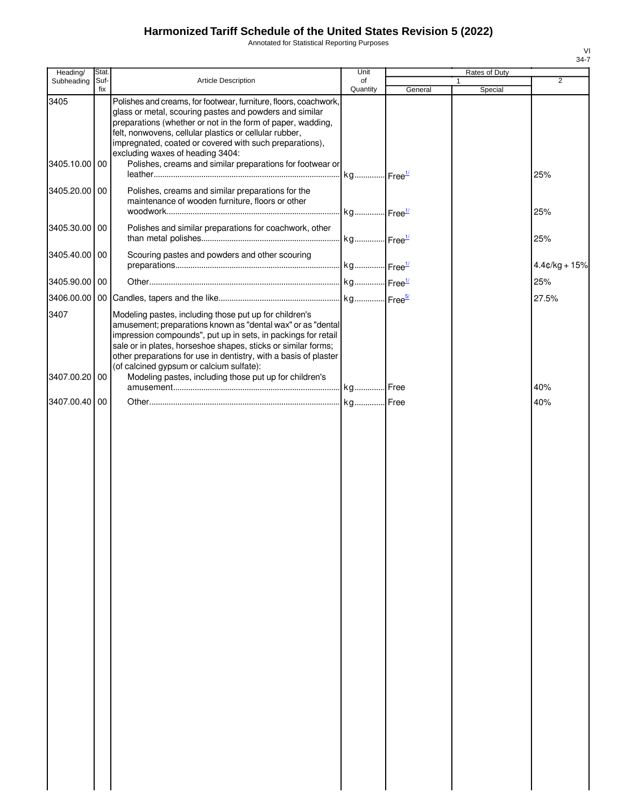Annotated for Statistical Reporting Purposes

| Heading/      | Stat.       |                                                                                                                                                                                                                                                                                                                                                                         | Unit           |         | Rates of Duty           |                 |
|---------------|-------------|-------------------------------------------------------------------------------------------------------------------------------------------------------------------------------------------------------------------------------------------------------------------------------------------------------------------------------------------------------------------------|----------------|---------|-------------------------|-----------------|
| Subheading    | Suf-<br>fix | Article Description                                                                                                                                                                                                                                                                                                                                                     | of<br>Quantity | General | $\mathbf{1}$<br>Special | $\overline{2}$  |
| 3405          |             | Polishes and creams, for footwear, furniture, floors, coachwork,<br>glass or metal, scouring pastes and powders and similar<br>preparations (whether or not in the form of paper, wadding,<br>felt, nonwovens, cellular plastics or cellular rubber,<br>impregnated, coated or covered with such preparations),<br>excluding waxes of heading 3404:                     |                |         |                         |                 |
| 3405.10.00 00 |             | Polishes, creams and similar preparations for footwear or                                                                                                                                                                                                                                                                                                               |                |         |                         | 25%             |
| 3405.20.00 00 |             | Polishes, creams and similar preparations for the<br>maintenance of wooden furniture, floors or other                                                                                                                                                                                                                                                                   |                |         |                         | 25%             |
| 3405.30.00 00 |             | Polishes and similar preparations for coachwork, other                                                                                                                                                                                                                                                                                                                  |                |         |                         | 25%             |
| 3405.40.00 00 |             | Scouring pastes and powders and other scouring                                                                                                                                                                                                                                                                                                                          |                |         |                         | $4.4¢/kg + 15%$ |
| 3405.90.00 00 |             |                                                                                                                                                                                                                                                                                                                                                                         |                |         |                         | 25%             |
|               |             |                                                                                                                                                                                                                                                                                                                                                                         |                |         |                         | 27.5%           |
| 3407          |             | Modeling pastes, including those put up for children's<br>amusement; preparations known as "dental wax" or as "dental<br>impression compounds", put up in sets, in packings for retail<br>sale or in plates, horseshoe shapes, sticks or similar forms;<br>other preparations for use in dentistry, with a basis of plaster<br>(of calcined gypsum or calcium sulfate): |                |         |                         |                 |
| 3407.00.20 00 |             | Modeling pastes, including those put up for children's                                                                                                                                                                                                                                                                                                                  |                |         |                         | 40%             |
| 3407.00.40 00 |             |                                                                                                                                                                                                                                                                                                                                                                         |                |         |                         | 40%             |
|               |             |                                                                                                                                                                                                                                                                                                                                                                         |                |         |                         |                 |